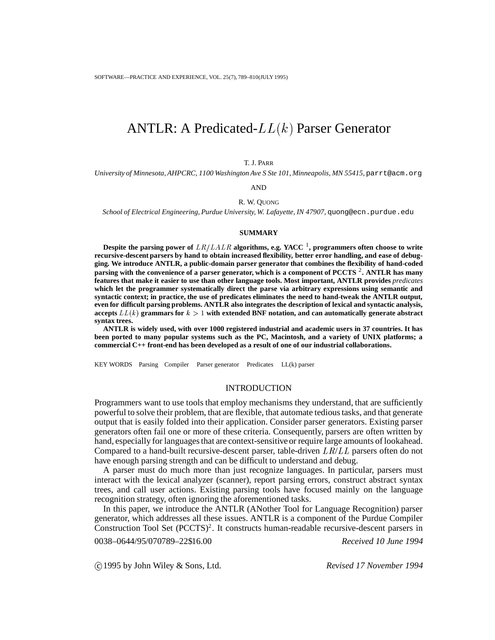# ANTLR: A Predicated- $LL(k)$  Parser Generator

#### T. J. PARR

*University of Minnesota, AHPCRC, 1100 Washington Ave S Ste 101, Minneapolis, MN 55415,* parrt@acm.org

AND

R. W. QUONG

*School of Electrical Engineering, Purdue University, W. Lafayette, IN 47907,* quong@ecn.purdue.edu

#### **SUMMARY**

Despite the parsing power of  $\emph{L}\emph{R}/\emph{L}\emph{AL}\emph{R}$  algorithms, e.g. YACC  $^1$ , programmers often choose to write **recursive-descent parsers by hand to obtain increased flexibility, better error handling, and ease of debugging. We introduce ANTLR, a public-domain parser generator that combines the flexibility of hand-coded** parsing with the convenience of a parser generator, which is a component of PCCTS  $^2.$  ANTLR has many **features that make it easier to use than other language tools. Most important, ANTLR provides** *predicates* **which let the programmer systematically direct the parse via arbitrary expressions using semantic and syntactic context; in practice, the use of predicates eliminates the need to hand-tweak the ANTLR output, even for difficult parsing problems. ANTLR also integratesthe description of lexical and syntactic analysis, accepts**  $LL(k)$  grammars for  $k > 1$  with extended BNF notation, and can automatically generate abstract **syntax trees.**

**ANTLR is widely used, with over 1000 registered industrial and academic users in 37 countries. It has been ported to many popular systems such as the PC, Macintosh, and a variety of UNIX platforms; a commercial C++ front-end has been developed as a result of one of our industrial collaborations.**

KEY WORDS Parsing Compiler Parser generator Predicates LL(k) parser

#### INTRODUCTION

Programmers want to use tools that employ mechanisms they understand, that are sufficiently powerful to solve their problem, that are flexible, that automate tedioustasks, and that generate output that is easily folded into their application. Consider parser generators. Existing parser generators often fail one or more of these criteria. Consequently, parsers are often written by hand, especially for languages that are context-sensitive or require large amounts of lookahead. Compared to a hand-built recursive-descent parser, table-driven  $LR/LL$  parsers often do not have enough parsing strength and can be difficult to understand and debug.

A parser must do much more than just recognize languages. In particular, parsers must interact with the lexical analyzer (scanner), report parsing errors, construct abstract syntax trees, and call user actions. Existing parsing tools have focused mainly on the language recognition strategy, often ignoring the aforementioned tasks.

In this paper, we introduce the ANTLR (ANother Tool for Language Recognition) parser generator, which addresses all these issues. ANTLR is a component of the Purdue Compiler Construction Tool Set (PCCTS)<sup>2</sup>. It constructs human-readable recursive-descent parsers in

0038–0644/95/070789–22\$16.00 *Received 10 June 1994*

c 1995 by John Wiley & Sons, Ltd. *Revised 17 November 1994*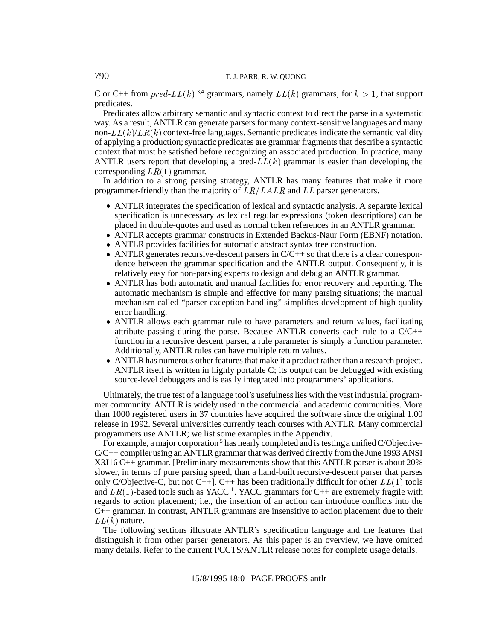C or C++ from  $pred\text{-}LL(k)$ <sup>3,4</sup> grammars, namely  $LL(k)$  grammars, for  $k > 1$ , that support predicates.

Predicates allow arbitrary semantic and syntactic context to direct the parse in a systematic way. As a result, ANTLR can generate parsers for many context-sensitive languages and many non- $LL(k)/LR(k)$  context-free languages. Semantic predicates indicate the semantic validity of applying a production;syntactic predicates are grammar fragments that describe a syntactic context that must be satisfied before recognizing an associated production. In practice, many ANTLR users report that developing a pred- $LL(k)$  grammar is easier than developing the corresponding  $LR(1)$  grammar.

In addition to a strong parsing strategy, ANTLR has many features that make it more programmer-friendly than the majority of  $LR/LALR$  and  $LL$  parser generators.

- ANTLR integrates the specification of lexical and syntactic analysis. A separate lexical specification is unnecessary as lexical regular expressions (token descriptions) can be placed in double-quotes and used as normal token references in an ANTLR grammar.
- ANTLR accepts grammar constructs in Extended Backus-Naur Form (EBNF) notation.
- ANTLR provides facilities for automatic abstract syntax tree construction.
- ANTLR generates recursive-descent parsers in C/C++ so that there is a clear correspondence between the grammar specification and the ANTLR output. Consequently, it is relatively easy for non-parsing experts to design and debug an ANTLR grammar.
- ANTLR has both automatic and manual facilities for error recovery and reporting. The automatic mechanism is simple and effective for many parsing situations; the manual mechanism called "parser exception handling" simplifies development of high-quality error handling.
- ANTLR allows each grammar rule to have parameters and return values, facilitating attribute passing during the parse. Because ANTLR converts each rule to a C/C++ function in a recursive descent parser, a rule parameter is simply a function parameter. Additionally, ANTLR rules can have multiple return values.
- ANTLR has numerous other features that make it a product rather than a research project. ANTLR itself is written in highly portable C; its output can be debugged with existing source-level debuggers and is easily integrated into programmers' applications.

Ultimately, the true test of a language tool's usefulnesslies with the vast industrial programmer community. ANTLR is widely used in the commercial and academic communities. More than 1000 registered users in 37 countries have acquired the software since the original 1.00 release in 1992. Several universities currently teach courses with ANTLR. Many commercial programmers use ANTLR; we list some examples in the Appendix.

For example, a major corporation<sup>5</sup> has nearly completed and is testing a unified C/Objective-C/C++ compiler using an ANTLR grammar that was derived directly from the June 1993 ANSI X3J16 C++ grammar. [Preliminary measurements show that this ANTLR parser is about 20% slower, in terms of pure parsing speed, than a hand-built recursive-descent parser that parses only C/Objective-C, but not C++1. C++ has been traditionally difficult for other  $LL(1)$  tools and  $LR(1)$ -based tools such as YACC<sup>1</sup>. YACC grammars for C++ are extremely fragile with regards to action placement; i.e., the insertion of an action can introduce conflicts into the C++ grammar. In contrast, ANTLR grammars are insensitive to action placement due to their  $LL(k)$  nature.

The following sections illustrate ANTLR's specification language and the features that distinguish it from other parser generators. As this paper is an overview, we have omitted many details. Refer to the current PCCTS/ANTLR release notes for complete usage details.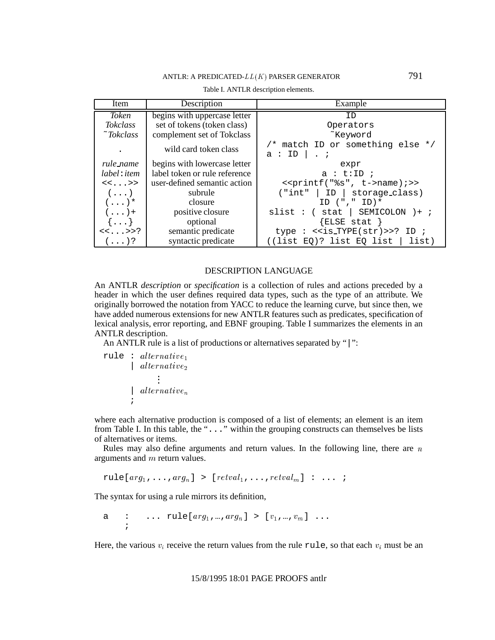### ANTLR: A PREDICATED- $LL(K)$  parser generator  $791$

| Item                  | Description                   | Example                               |
|-----------------------|-------------------------------|---------------------------------------|
| Token                 | begins with uppercase letter  | ID                                    |
| <b>Tokclass</b>       | set of tokens (token class)   | Operators                             |
| $~\tilde{~}$ Tokclass | complement set of Tokclass    | ~Keyword                              |
|                       | wild card token class         | /* match ID or something else */      |
|                       |                               | $a:ID$ . ;                            |
| rule_name             | begins with lowercase letter  | expr                                  |
| label: item           | label token or rule reference | a : t:ID                              |
| <<. >>                | user-defined semantic action  | $\le$ printf("%s", t->name);>>        |
| $(\ldots)$            | subrule                       | $("int"   ID   storage_class)$        |
| $(\ldots)^*$          | closure                       | ID $(\,^{\prime\prime}\,$ , " ID) *   |
| $(\ldots)^+$          | positive closure              | $slist : (stat   SEMICOLON )+ ;$      |
| $\{ \ldots \}$        | optional                      | ${ELSE$ stat $}$                      |
| <<. > > ?             | semantic predicate            | type : $\langle$ is TYPE(str)>>? ID ; |
| $(\ldots)?$           | syntactic predicate           | ((list EQ)? list EQ list   list)      |

#### Table I. ANTLR description elements.

### DESCRIPTION LANGUAGE

An ANTLR *description* or *specification* is a collection of rules and actions preceded by a header in which the user defines required data types, such as the type of an attribute. We originally borrowed the notation from YACC to reduce the learning curve, but since then, we have added numerous extensions for new ANTLR features such as predicates, specification of lexical analysis, error reporting, and EBNF grouping. Table I summarizes the elements in an ANTLR description.

An ANTLR rule is a list of productions or alternatives separated by "|":

```
rule : \emph{alternative}_1\vert alternative<sub>2</sub>
                ...
        \vert alternative<sub>n</sub>
        ;
```
where each alternative production is composed of a list of elements; an element is an item from Table I. In this table, the "..." within the grouping constructs can themselves be lists of alternatives or items.

Rules may also define arguments and return values. In the following line, there are  $n$ arguments and  $m$  return values.

rule[ $arg_1, \ldots, arg_n$ ] > [ $retval_1, \ldots, retval_m$ ] : ...;

The syntax for using a rule mirrors its definition,

```
a : ... \text{rule}[\mathit{arg}_1\,,\,\ldots\,,\mathit{arg}_n] > [\mathit{v}_1\,,\,\ldots\,,\mathit{v}_m\,]\, \ldots;
```
Here, the various  $v_i$  receive the return values from the rule rule, so that each  $v_i$  must be an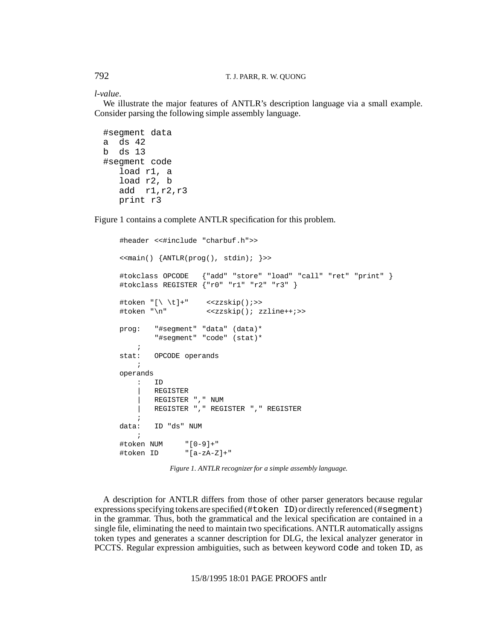*l-value*.

We illustrate the major features of ANTLR's description language via a small example. Consider parsing the following simple assembly language.

```
#segment data
a ds 42
b ds 13
#segment code
  load r1, a
   load r2, b
  add r1,r2,r3
  print r3
```
Figure 1 contains a complete ANTLR specification for this problem.

```
#header <<#include "charbuf.h">>
<<main() {ANTLR(prog(), stdin); }>>
#tokclass OPCODE {"add" "store" "load" "call" "ret" "print" }
#tokclass REGISTER {"r0" "r1" "r2" "r3" }
#token "[\ \t]+" <<zzskip();>>
#token "\n" <<zzskip(); zzline++;>>
prog: "#segment" "data" (data)*
       "#segment" "code" (stat)*
   ;
stat: OPCODE operands
   \ddot{i}operands
   : ID
    | REGISTER
   | REGISTER "," NUM
   | REGISTER "," REGISTER "," REGISTER
    ;
data: ID "ds" NUM
    ;
#token NUM "[0-9]+"
#token ID "[a-zA-Z]+"
```
*Figure 1. ANTLR recognizerfor a simple assembly language.*

A description for ANTLR differs from those of other parser generators because regular expressionsspecifying tokens are specified (#token ID) or directly referenced (#segment) in the grammar. Thus, both the grammatical and the lexical specification are contained in a single file, eliminating the need to maintain two specifications. ANTLR automatically assigns token types and generates a scanner description for DLG, the lexical analyzer generator in PCCTS. Regular expression ambiguities, such as between keyword code and token ID, as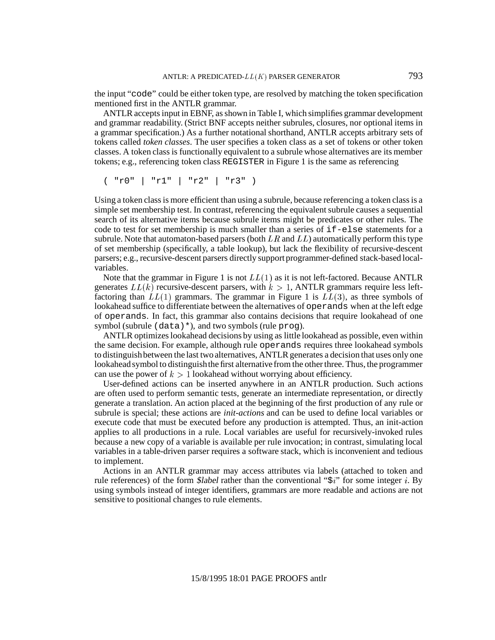the input "code" could be either token type, are resolved by matching the token specification mentioned first in the ANTLR grammar.

ANTLR acceptsinput in EBNF, asshown in Table I, which simplifies grammar development and grammar readability. (Strict BNF accepts neither subrules, closures, nor optional items in a grammar specification.) As a further notational shorthand, ANTLR accepts arbitrary sets of tokens called *token classes*. The user specifies a token class as a set of tokens or other token classes. A token class is functionally equivalent to a subrule whose alternatives are its member tokens; e.g., referencing token class REGISTER in Figure 1 is the same as referencing

( "r0" | "r1" | "r2" | "r3" )

Using a token class is more efficient than using a subrule, because referencing a token class is a simple set membership test. In contrast, referencing the equivalent subrule causes a sequential search of its alternative items because subrule items might be predicates or other rules. The code to test for set membership is much smaller than a series of if-else statements for a subrule. Note that automaton-based parsers (both  $LR$  and  $LL$ ) automatically perform this type of set membership (specifically, a table lookup), but lack the flexibility of recursive-descent parsers; e.g., recursive-descent parsers directly support programmer-defined stack-based localvariables.

Note that the grammar in Figure 1 is not  $LL(1)$  as it is not left-factored. Because ANTLR generates  $LL(k)$  recursive-descent parsers, with  $k > 1$ , ANTLR grammars require less leftfactoring than  $LL(1)$  grammars. The grammar in Figure 1 is  $LL(3)$ , as three symbols of lookahead suffice to differentiate between the alternatives of operands when at the left edge of operands. In fact, this grammar also contains decisions that require lookahead of one symbol (subrule  $(data)*$ ), and two symbols (rule prog).

ANTLR optimizeslookahead decisions by using as little lookahead as possible, even within the same decision. For example, although rule operands requires three lookahead symbols to distinguish between the last two alternatives, ANTLR generates a decision that uses only one lookahead symbol to distinguish the first alternative from the other three. Thus, the programmer can use the power of  $k > 1$  lookahead without worrying about efficiency.

User-defined actions can be inserted anywhere in an ANTLR production. Such actions are often used to perform semantic tests, generate an intermediate representation, or directly generate a translation. An action placed at the beginning of the first production of any rule or subrule is special; these actions are *init-actions* and can be used to define local variables or execute code that must be executed before any production is attempted. Thus, an init-action applies to all productions in a rule. Local variables are useful for recursively-invoked rules because a new copy of a variable is available per rule invocation; in contrast, simulating local variables in a table-driven parser requires a software stack, which is inconvenient and tedious to implement.

Actions in an ANTLR grammar may access attributes via labels (attached to token and rule references) of the form *\$label* rather than the conventional " $\ddot{s}i$ " for some integer *i*. By using symbols instead of integer identifiers, grammars are more readable and actions are not sensitive to positional changes to rule elements.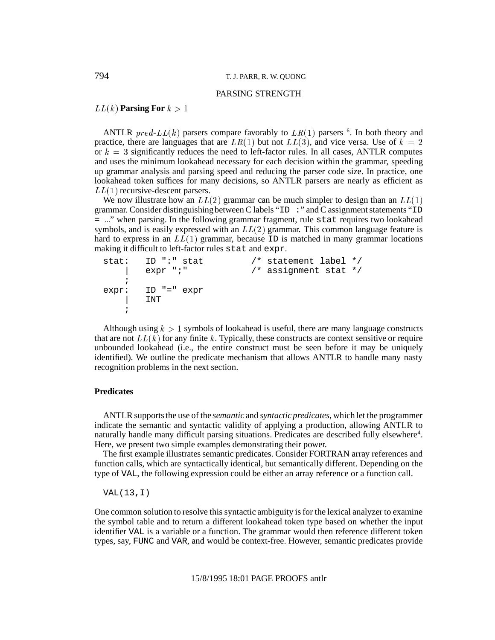### PARSING STRENGTH

 $LL(k)$  **Parsing For**  $k > 1$ 

ANTLR  $pred\text{-}LL(k)$  parsers compare favorably to  $LR(1)$  parsers <sup>6</sup>. In both theory and practice, there are languages that are  $LR(1)$  but not  $LL(3)$ , and vice versa. Use of  $\overline{k} = 2$ or  $k = 3$  significantly reduces the need to left-factor rules. In all cases, ANTLR computes and uses the minimum lookahead necessary for each decision within the grammar, speeding up grammar analysis and parsing speed and reducing the parser code size. In practice, one lookahead token suffices for many decisions, so ANTLR parsers are nearly as efficient as  $LL(1)$  recursive-descent parsers.

We now illustrate how an  $LL(2)$  grammar can be much simpler to design than an  $LL(1)$ grammar. Consider distinguishingbetween C labels "ID :" and C assignmentstatements "ID = …" when parsing. In the following grammar fragment, rule stat requires two lookahead symbols, and is easily expressed with an  $LL(2)$  grammar. This common language feature is hard to express in an  $LL(1)$  grammar, because ID is matched in many grammar locations making it difficult to left-factor rules stat and expr.

```
stat: ID ":" stat /* statement label */
   | expr ";" /* assignment stat */
   ;
expr: ID "=" expr
   | INT
   ;
```
Although using  $k > 1$  symbols of lookahead is useful, there are many language constructs that are not  $LL(k)$  for any finite k. Typically, these constructs are context sensitive or require unbounded lookahead (i.e., the entire construct must be seen before it may be uniquely identified). We outline the predicate mechanism that allows ANTLR to handle many nasty recognition problems in the next section.

### **Predicates**

ANTLR supports the use of the *semantic* and *syntactic predicates*, which let the programmer indicate the semantic and syntactic validity of applying a production, allowing ANTLR to naturally handle many difficult parsing situations. Predicates are described fully elsewhere<sup>4</sup>. Here, we present two simple examples demonstrating their power.

The first example illustrates semantic predicates. Consider FORTRAN array references and function calls, which are syntactically identical, but semantically different. Depending on the type of VAL, the following expression could be either an array reference or a function call.

VAL(13,I)

One common solution to resolve this syntactic ambiguity isfor the lexical analyzer to examine the symbol table and to return a different lookahead token type based on whether the input identifier VAL is a variable or a function. The grammar would then reference different token types, say, FUNC and VAR, and would be context-free. However, semantic predicates provide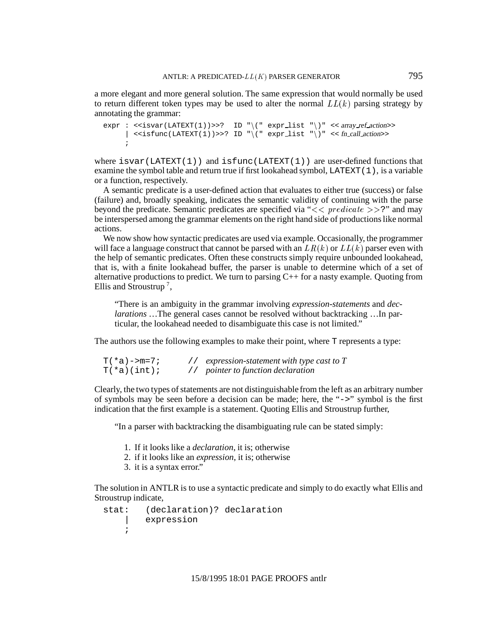a more elegant and more general solution. The same expression that would normally be used to return different token types may be used to alter the normal  $LL(k)$  parsing strategy by annotating the grammar:

```
expr : \leq \text{isvar}(\text{LATEXT}(1))>>? ID "\vee" expr\_list "\vee" \leq \text{array\_ref\_actions}>>| \langle < isfunc(LATEXT(1))>>? ID "\langle (" exprist "\rangle)" \langle = fn_call_action>>
        ;
```
where  $isvar(LATEXT(1))$  and  $isfunc(LATEXT(1))$  are user-defined functions that examine the symbol table and return true if first lookahead symbol, LATEXT(1), is a variable or a function, respectively.

A semantic predicate is a user-defined action that evaluates to either true (success) or false (failure) and, broadly speaking, indicates the semantic validity of continuing with the parse beyond the predicate. Semantic predicates are specified via " $<<$   $predicate$ " and may be interspersed among the grammar elements on the right hand side of productions like normal actions.

We now show how syntactic predicates are used via example. Occasionally, the programmer will face a language construct that cannot be parsed with an  $LR(k)$  or  $LL(k)$  parser even with the help of semantic predicates. Often these constructs simply require unbounded lookahead, that is, with a finite lookahead buffer, the parser is unable to determine which of a set of alternative productions to predict. We turn to parsing  $C++$  for a nasty example. Quoting from Ellis and Stroustrup<sup>7</sup>,

"There is an ambiguity in the grammar involving *expression-statements* and *declarations* …The general cases cannot be resolved without backtracking …In particular, the lookahead needed to disambiguate this case is not limited."

The authors use the following examples to make their point, where T represents a type:

| $T(*a)$ ->m=7; | $\frac{1}{2}$ expression-statement with type cast to T |
|----------------|--------------------------------------------------------|
| $T(*a)(int);$  | // pointer to function declaration                     |

Clearly, the two types of statements are not distinguishable from the left as an arbitrary number of symbols may be seen before a decision can be made; here, the "->" symbol is the first indication that the first example is a statement. Quoting Ellis and Stroustrup further,

"In a parser with backtracking the disambiguating rule can be stated simply:

1. If it looks like a *declaration*, it is; otherwise

2. if it looks like an *expression*, it is; otherwise

3. it is a syntax error."

The solution in ANTLR is to use a syntactic predicate and simply to do exactly what Ellis and Stroustrup indicate,

stat: (declaration)? declaration | expression ;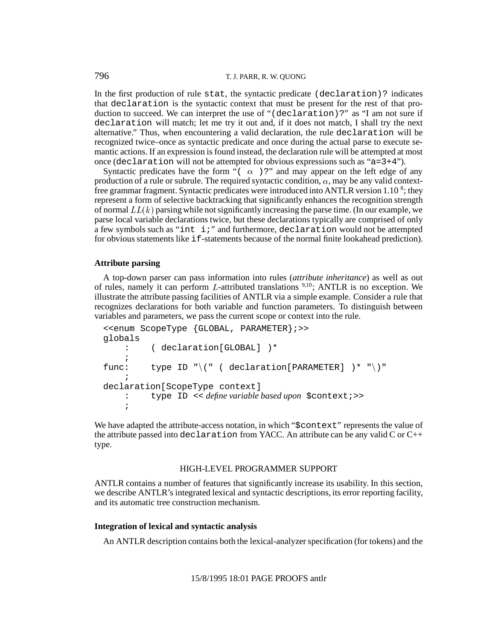796 T. J. PARR, R. W. QUONG

In the first production of rule stat, the syntactic predicate (declaration)? indicates that declaration is the syntactic context that must be present for the rest of that production to succeed. We can interpret the use of "(declaration)?" as "I am not sure if declaration will match; let me try it out and, if it does not match, I shall try the next alternative." Thus, when encountering a valid declaration, the rule declaration will be recognized twice–once as syntactic predicate and once during the actual parse to execute semantic actions. If an expression is found instead, the declaration rule will be attempted at most once (declaration will not be attempted for obvious expressions such as " $a=3+4$ ").

Syntactic predicates have the form "( $\alpha$ )?" and may appear on the left edge of any production of a rule or subrule. The required syntactic condition,  $\alpha$ , may be any valid contextfree grammar fragment. Syntactic predicates were introduced into ANTLR version 1.10<sup>8</sup>; they represent a form of selective backtracking that significantly enhances the recognition strength of normal  $LL(k)$  parsing while not significantly increasing the parse time. (In our example, we parse local variable declarations twice, but these declarations typically are comprised of only a few symbols such as "int i;" and furthermore, declaration would not be attempted for obvious statements like if-statements because of the normal finite lookahead prediction).

### **Attribute parsing**

A top-down parser can pass information into rules (*attribute inheritance*) as well as out of rules, namely it can perform  $L$ -attributed translations  $9,10$ ; ANTLR is no exception. We illustrate the attribute passing facilities of ANTLR via a simple example. Consider a rule that recognizes declarations for both variable and function parameters. To distinguish between variables and parameters, we pass the current scope or context into the rule.

```
<<enum ScopeType {GLOBAL, PARAMETER};>>
globals
   : ( declaration[GLOBAL] )*
    ;
func: type ID "\(" ( declaration[PARAMETER] )* "\)"
    ;
declaration[ScopeType context]
   : type ID << define variable based upon $context;>>
    ;
```
We have adapted the attribute-access notation, in which "\$context" represents the value of the attribute passed into declaration from YACC. An attribute can be any valid  $C$  or  $C_{++}$ type.

### HIGH-LEVEL PROGRAMMER SUPPORT

ANTLR contains a number of features that significantly increase its usability. In this section, we describe ANTLR's integrated lexical and syntactic descriptions, its error reporting facility, and its automatic tree construction mechanism.

### **Integration of lexical and syntactic analysis**

An ANTLR description contains both the lexical-analyzer specification (for tokens) and the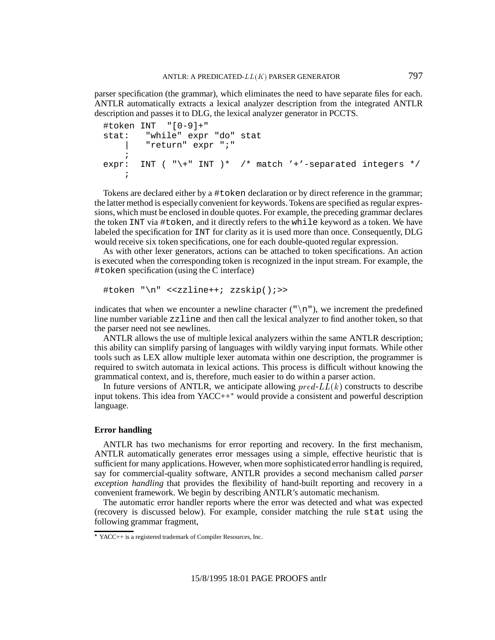parser specification (the grammar), which eliminates the need to have separate files for each. ANTLR automatically extracts a lexical analyzer description from the integrated ANTLR description and passes it to DLG, the lexical analyzer generator in PCCTS.

```
#token INT "[0-9]+"
stat: "while" expr "do" stat
    | "return" expr ";"
    ;
expr: INT ( "\arrow" INT )* /* match '+'-separated integers */
    ;
```
Tokens are declared either by a #token declaration or by direct reference in the grammar; the latter method is especially convenient for keywords. Tokens are specified as regular expressions, which must be enclosed in double quotes. For example, the preceding grammar declares the token INT via #token, and it directly refers to the while keyword as a token. We have labeled the specification for INT for clarity as it is used more than once. Consequently, DLG would receive six token specifications, one for each double-quoted regular expression.

As with other lexer generators, actions can be attached to token specifications. An action is executed when the corresponding token is recognized in the input stream. For example, the #token specification (using the C interface)

```
#token "\n" <<zzline++; zzskip();>>
```
indicates that when we encounter a newline character ( $\lceil \ln \rceil$ ), we increment the predefined line number variable zzline and then call the lexical analyzer to find another token, so that the parser need not see newlines.

ANTLR allows the use of multiple lexical analyzers within the same ANTLR description; this ability can simplify parsing of languages with wildly varying input formats. While other tools such as LEX allow multiple lexer automata within one description, the programmer is required to switch automata in lexical actions. This process is difficult without knowing the grammatical context, and is, therefore, much easier to do within a parser action.

In future versions of ANTLR, we anticipate allowing  $pred\text{-}LL(k)$  constructs to describe input tokens. This idea from YACC++\* would provide a consistent and powerful description language.

### **Error handling**

ANTLR has two mechanisms for error reporting and recovery. In the first mechanism, ANTLR automatically generates error messages using a simple, effective heuristic that is sufficient for many applications. However, when more sophisticated error handling is required, say for commercial-quality software, ANTLR provides a second mechanism called *parser exception handling* that provides the flexibility of hand-built reporting and recovery in a convenient framework. We begin by describing ANTLR's automatic mechanism.

The automatic error handler reports where the error was detected and what was expected (recovery is discussed below). For example, consider matching the rule stat using the following grammar fragment,

YACC++ is a registered trademark of Compiler Resources, Inc.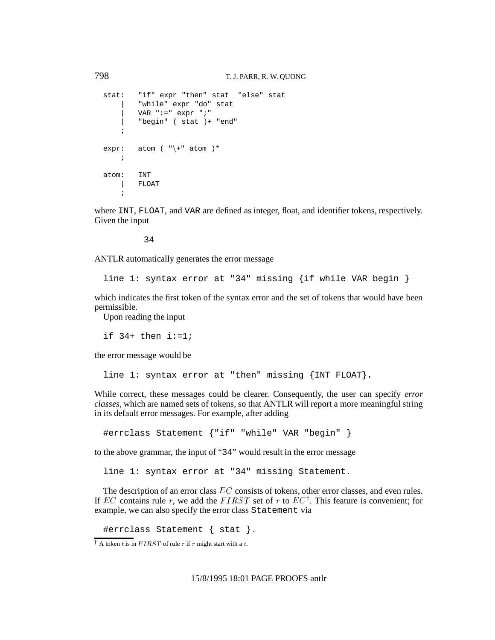```
stat: "if" expr "then" stat "else" stat
       | "while" expr "do" stat
       VAR " := " expr ";"| "begin" ( stat )+ "end"
    ;
expr: atom ( "\+" atom )*
   \cdot;
atom: INT
   | FLOAT
    ;
```
where INT, FLOAT, and VAR are defined as integer, float, and identifier tokens, respectively. Given the input

34

ANTLR automatically generates the error message

```
line 1: syntax error at "34" missing {if while VAR begin }
```
which indicates the first token of the syntax error and the set of tokens that would have been permissible.

Upon reading the input

if  $34+$  then  $i:=1$ ;

the error message would be

line 1: syntax error at "then" missing {INT FLOAT}.

While correct, these messages could be clearer. Consequently, the user can specify *error classes*, which are named sets of tokens, so that ANTLR will report a more meaningful string in its default error messages. For example, after adding

#errclass Statement {"if" "while" VAR "begin" }

to the above grammar, the input of "34" would result in the error message

line 1: syntax error at "34" missing Statement.

The description of an error class  $EC$  consists of tokens, other error classes, and even rules. If EC contains rule r, we add the  $FIRST$  set of r to  $EC^{\dagger}$ . This feature is convenient; for example, we can also specify the error class Statement via

#errclass Statement { stat }.

<sup>&</sup>lt;sup>†</sup> A token t is in  $FIRST$  of rule r if r might start with a t.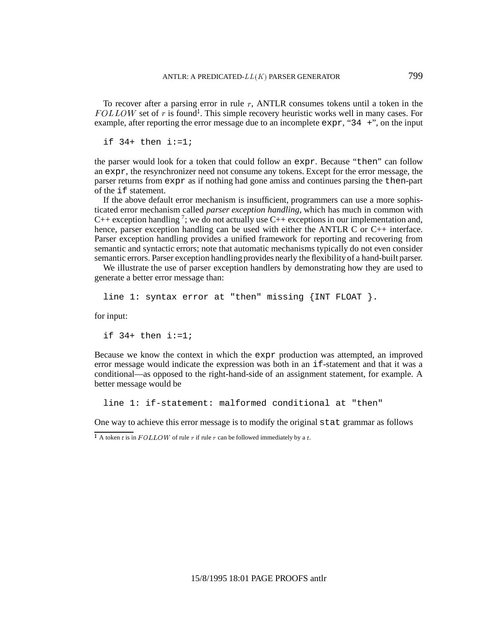To recover after a parsing error in rule  $r$ , ANTLR consumes tokens until a token in the  $FOLLOW$  set of r is found<sup>†</sup>. This simple recovery heuristic works well in many cases. For example, after reporting the error message due to an incomplete  $\exp r$ , "34 +", on the input

if  $34+$  then  $i:=1$ ;

the parser would look for a token that could follow an expr. Because "then" can follow an expr, the resynchronizer need not consume any tokens. Except for the error message, the parser returns from expr as if nothing had gone amiss and continues parsing the then-part of the if statement.

If the above default error mechanism is insufficient, programmers can use a more sophisticated error mechanism called *parser exception handling*, which has much in common with C++ exception handling<sup>7</sup>; we do not actually use C++ exceptions in our implementation and, hence, parser exception handling can be used with either the ANTLR C or C++ interface. Parser exception handling provides a unified framework for reporting and recovering from semantic and syntactic errors; note that automatic mechanisms typically do not even consider semantic errors. Parser exception handling provides nearly the flexibility of a hand-built parser.

We illustrate the use of parser exception handlers by demonstrating how they are used to generate a better error message than:

```
line 1: syntax error at "then" missing {INT FLOAT }.
```
for input:

 $if 34+ then i:=1;$ 

Because we know the context in which the expr production was attempted, an improved error message would indicate the expression was both in an if-statement and that it was a conditional—as opposed to the right-hand-side of an assignment statement, for example. A better message would be

```
line 1: if-statement: malformed conditional at "then"
```
One way to achieve this error message is to modify the original stat grammar as follows

<sup>&</sup>lt;sup>‡</sup> A token t is in  $FOLLOW$  of rule r if rule r can be followed immediately by a t.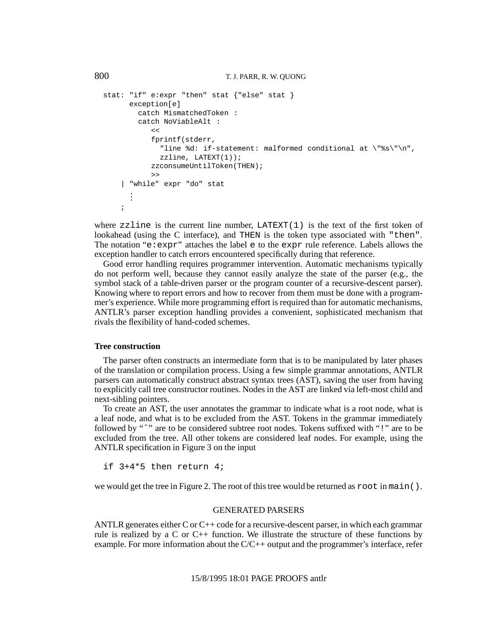```
800 T. J. PARR, R. W. QUONG
```

```
stat: "if" e:expr "then" stat {"else" stat }
      exception[e]
        catch MismatchedToken :
        catch NoViableAlt :
           <<fprintf(stderr,
             "line %d: if-statement: malformed conditional at \"%s\"\n",
             zzline, LATEXT(1));
           zzconsumeUntilToken(THEN);
           \rightarrow| "while" expr "do" stat
      ..
      .
    ;
```
where zzline is the current line number,  $LATEXT(1)$  is the text of the first token of lookahead (using the C interface), and THEN is the token type associated with "then". The notation "e:  $\exp r$ " attaches the label e to the  $\exp r$  rule reference. Labels allows the exception handler to catch errors encountered specifically during that reference.

Good error handling requires programmer intervention. Automatic mechanisms typically do not perform well, because they cannot easily analyze the state of the parser (e.g., the symbol stack of a table-driven parser or the program counter of a recursive-descent parser). Knowing where to report errors and how to recover from them must be done with a programmer's experience. While more programming effort is required than for automatic mechanisms, ANTLR's parser exception handling provides a convenient, sophisticated mechanism that rivals the flexibility of hand-coded schemes.

### **Tree construction**

The parser often constructs an intermediate form that is to be manipulated by later phases of the translation or compilation process. Using a few simple grammar annotations, ANTLR parsers can automatically construct abstract syntax trees (AST), saving the user from having to explicitly call tree constructor routines. Nodes in the AST are linked via left-most child and next-sibling pointers.

To create an AST, the user annotates the grammar to indicate what is a root node, what is a leaf node, and what is to be excluded from the AST. Tokens in the grammar immediately followed by "<sup>or</sup>" are to be considered subtree root nodes. Tokens suffixed with "!" are to be excluded from the tree. All other tokens are considered leaf nodes. For example, using the ANTLR specification in Figure 3 on the input

if 3+4\*5 then return 4;

we would get the tree in Figure 2. The root of this tree would be returned as  $\text{root in}\,\text{main}$  ().

### GENERATED PARSERS

ANTLR generates either C or C++ code for a recursive-descent parser, in which each grammar rule is realized by a C or  $C_{++}$  function. We illustrate the structure of these functions by example. For more information about the C/C++ output and the programmer's interface, refer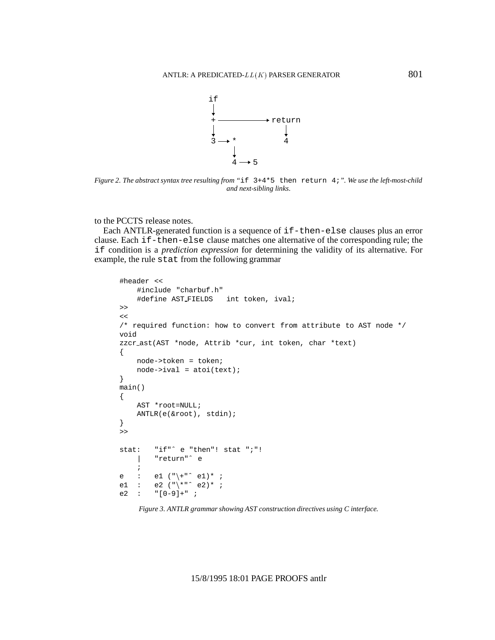

*Figure 2. The abstract syntax tree resulting from "*if 3+4\*5 then return 4;*". We use the left-most-child and next-sibling links.*

to the PCCTS release notes.

Each ANTLR-generated function is a sequence of if-then-else clauses plus an error clause. Each if-then-else clause matches one alternative of the corresponding rule; the if condition is a *prediction expression* for determining the validity of its alternative. For example, the rule stat from the following grammar

```
#header <<
    #include "charbuf.h"
    #define AST FIELDS int token, ival;
>>
<</* required function: how to convert from attribute to AST node */
void
zzcr ast(AST *node, Attrib *cur, int token, char *text)
{
   node->token = token;
   node->ival = atoi(text);}
main()
{
   AST *root=NULL;
    ANTLR(e(&root), stdin);
}
\rightarrowstat: "if"^ e "then"! stat ";"!
   | "return"ˆ e
    ;
e : e1 (" \ +"  e1) *;
e1 : e2 ("\overline{r} e2)* ;
e2 : "[0-9]+" ;
```
*Figure 3. ANTLR grammarshowing AST construction directives using C interface.*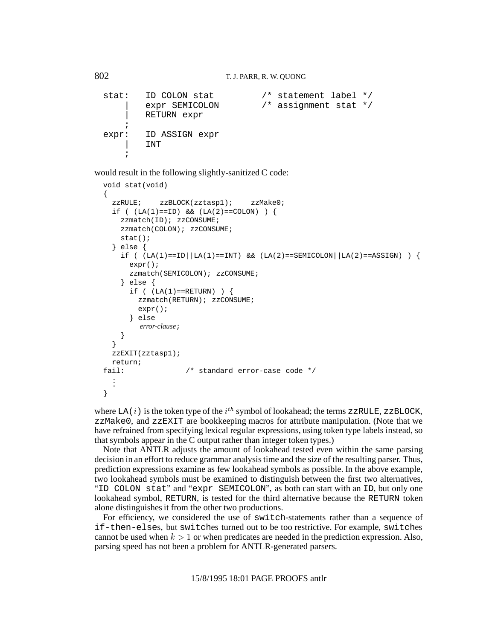```
stat: ID COLON stat /* statement label */
       expr SEMICOLON /* assignment stat */
       | RETURN expr
   ;
expr: ID ASSIGN expr
       | INT
    ;
```
would result in the following slightly-sanitized C code:

```
void stat(void)
{
  zzRULE; zzBLOCK(zztasp1); zzMake0;
  if ( (LA(1) == ID) & (LA(2) == COLON ) {
   zzmatch(ID); zzCONSUME;
    zzmatch(COLON); zzCONSUME;
    stat();
  } else {
    if ( (LA(1) == ID | LA(1) == INT) & (LA(2) == SEMICOLON | LA(2) == ASSIGN) ) {
      expr();
      zzmatch(SEMICOLON); zzCONSUME;
    } else {
      if ( (LA(1)==RETURN) ) {
        zzmatch(RETURN); zzCONSUME;
       expr();
      } else
        error-clause;
    }
  }
  zzEXIT(zztasp1);
 return;
fail: /* standard error-case code */
  ..
  .
}
```
where LA( $i$ ) is the token type of the  $i^{th}$  symbol of lookahead; the terms zzRULE, zzBLOCK, zzMake0, and zzEXIT are bookkeeping macros for attribute manipulation. (Note that we have refrained from specifying lexical regular expressions, using token type labels instead, so that symbols appear in the C output rather than integer token types.)

Note that ANTLR adjusts the amount of lookahead tested even within the same parsing decision in an effort to reduce grammar analysistime and the size of the resulting parser. Thus, prediction expressions examine as few lookahead symbols as possible. In the above example, two lookahead symbols must be examined to distinguish between the first two alternatives, "ID COLON stat" and "expr SEMICOLON", as both can start with an ID, but only one lookahead symbol, RETURN, is tested for the third alternative because the RETURN token alone distinguishes it from the other two productions.

For efficiency, we considered the use of switch-statements rather than a sequence of if-then-elses, but switches turned out to be too restrictive. For example, switches cannot be used when  $k > 1$  or when predicates are needed in the prediction expression. Also, parsing speed has not been a problem for ANTLR-generated parsers.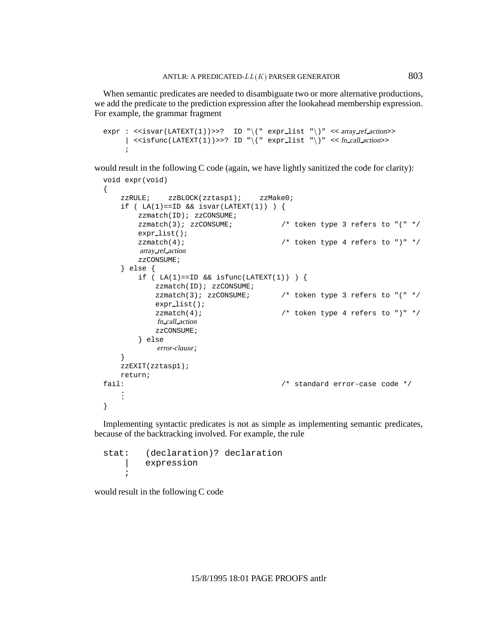When semantic predicates are needed to disambiguate two or more alternative productions, we add the predicate to the prediction expression after the lookahead membership expression. For example, the grammar fragment

```
expr : <cisvar(LATEXT(1))>>? ID "\vee" expr_list "\vee" << array_ref_action>>
      | \leqisfunc(LATEXT(1))>>? ID "\(" expr_list "\)" \leq fn_call_action>>
      ;
```
would result in the following C code (again, we have lightly sanitized the code for clarity):

```
void expr(void)
{
    zzRULE; zzBLOCK(zztasp1); zzMake0;
    if ( LA(1) == ID & & isvar(LATEXT(1)) ) {
       zzmatch(ID); zzCONSUME;
       zzmatch(3); zzCONSUME; \frac{1}{2} /* token type 3 refers to "(" */
        expr list();
        zzmatch(4); \overline{\hspace{1cm}} /* token type 4 refers to ")" */
        array ref action
        zzCONSUME;
    } else {
        if ( LA(1) == ID & & isfunc(LATERT(1)) ) {
            zzmatch(ID); zzCONSUME;
            zzmatch(3); zzCONSUME; \frac{1}{2} /* token type 3 refers to "(" */
            expr list();
           zzmatch(4); \frac{1}{2} /* token type 4 refers to ")" */
            fn call action
           zzCONSUME;
        } else
            error-clause;
    }
    zzEXIT(zztasp1);
   return;
fail: \frac{1}{x} standard error-case code \frac{x}{x}.
..
}
```
Implementing syntactic predicates is not as simple as implementing semantic predicates, because of the backtracking involved. For example, the rule

stat: (declaration)? declaration | expression ;

would result in the following C code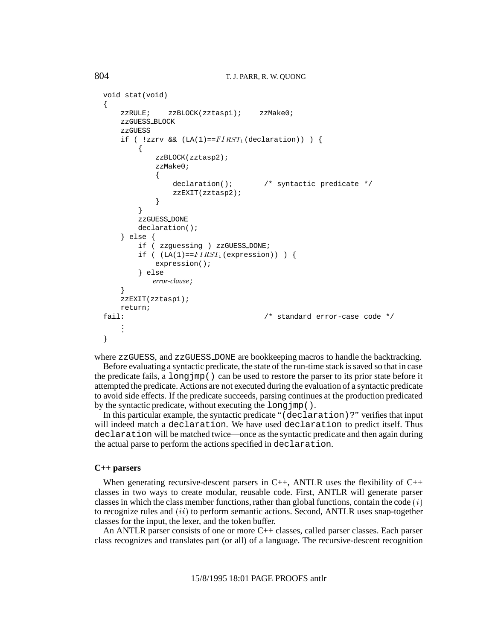```
void stat(void)
{
    zzRULE; zzBLOCK(zztasp1); zzMake0;
   zzGUESS BLOCK
    zzGUESS
    if ( !zzrv && (LA(1) == FIRST_1 (declaration)) ) {
        {
            zzBLOCK(zztasp2);
            zzMake0;
            {
                declaration(); <br> /* syntactic predicate */
                zzEXIT(zztasp2);
            }
        }
        zzGUESS DONE
        declaration();
    } else {
       if ( zzguessing ) zzGUESS DONE;
        if ( (LA(1)==FIRST_1(expression) ) {
            expression();
        } else
           error-clause;
    }
    zzEXIT(zztasp1);
   return;
fail: \overline{z} /* standard error-case code */
    .
    ..
}
```
where zzGUESS, and zzGUESS\_DONE are bookkeeping macros to handle the backtracking.

Before evaluating a syntactic predicate, the state of the run-time stack issaved so that in case the predicate fails, a longjmp() can be used to restore the parser to its prior state before it attempted the predicate. Actions are not executed during the evaluation of a syntactic predicate to avoid side effects. If the predicate succeeds, parsing continues at the production predicated by the syntactic predicate, without executing the longjmp().

In this particular example, the syntactic predicate "(declaration)?" verifies that input will indeed match a declaration. We have used declaration to predict itself. Thus declaration will be matched twice—once as the syntactic predicate and then again during the actual parse to perform the actions specified in declaration.

### **C++ parsers**

When generating recursive-descent parsers in  $C_{++}$ , ANTLR uses the flexibility of  $C_{++}$ classes in two ways to create modular, reusable code. First, ANTLR will generate parser classes in which the class member functions, rather than global functions, contain the code  $(i)$ to recognize rules and  $(ii)$  to perform semantic actions. Second, ANTLR uses snap-together classes for the input, the lexer, and the token buffer.

An ANTLR parser consists of one or more C++ classes, called parser classes. Each parser class recognizes and translates part (or all) of a language. The recursive-descent recognition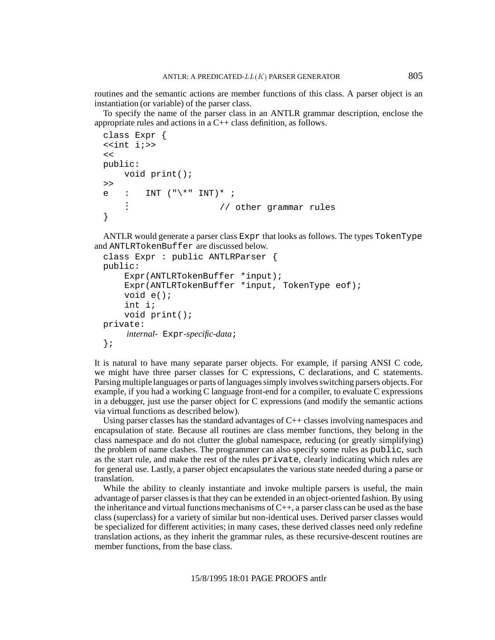routines and the semantic actions are member functions of this class. A parser object is an instantiation (or variable) of the parser class.

To specify the name of the parser class in an ANTLR grammar description, enclose the appropriate rules and actions in a C++ class definition, as follows.

```
class Expr {
<<int i;>>
\ltpublic:
    void print();
>>
e : INT (\sqrt{m} \cdot \sqrt{m})^* ;
                         // other grammar rules
}
```
ANTLR would generate a parser class Expr that looks as follows. The types TokenType and ANTLRTokenBuffer are discussed below.

```
class Expr : public ANTLRParser {
public:
    Expr(ANTLRTokenBuffer *input);
    Expr(ANTLRTokenBuffer *input, TokenType eof);
    void e();
    int i;
    void print();
private:
    internal- Expr-specific-data;
};
```
It is natural to have many separate parser objects. For example, if parsing ANSI C code, we might have three parser classes for C expressions, C declarations, and C statements. Parsing multiple languages or parts of languages simply involves switching parsers objects. For example, if you had a working C language front-end for a compiler, to evaluate C expressions in a debugger, just use the parser object for C expressions (and modify the semantic actions via virtual functions as described below).

Using parser classes has the standard advantages of C++ classes involving namespaces and encapsulation of state. Because all routines are class member functions, they belong in the class namespace and do not clutter the global namespace, reducing (or greatly simplifying) the problem of name clashes. The programmer can also specify some rules as public, such as the start rule, and make the rest of the rules private, clearly indicating which rules are for general use. Lastly, a parser object encapsulates the various state needed during a parse or translation.

While the ability to cleanly instantiate and invoke multiple parsers is useful, the main advantage of parser classesis that they can be extended in an object-oriented fashion. By using the inheritance and virtual functions mechanisms of  $C_{++}$ , a parser class can be used as the base class (superclass) for a variety of similar but non-identical uses. Derived parser classes would be specialized for different activities; in many cases, these derived classes need only redefine translation actions, as they inherit the grammar rules, as these recursive-descent routines are member functions, from the base class.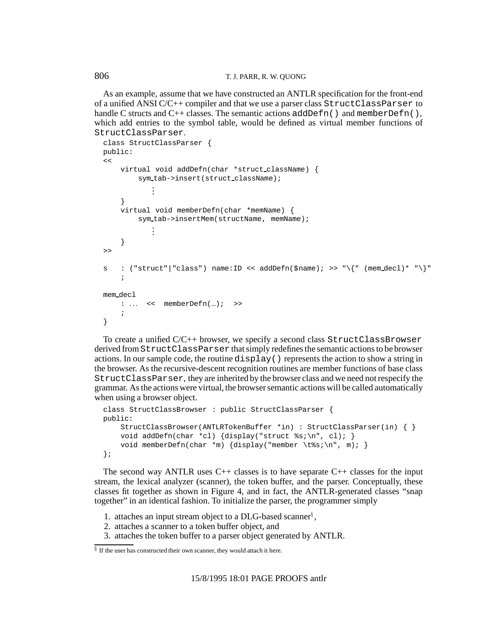As an example, assume that we have constructed an ANTLR specification for the front-end of a unified ANSI C/C++ compiler and that we use a parser class StructClassParser to handle C structs and  $C++$  classes. The semantic actions  $addDefn()$  and memberDefn(), which add entries to the symbol table, would be defined as virtual member functions of StructClassParser.

```
class StructClassParser {
public:
\ltvirtual void addDefn(char *struct className) {
        sym tab->insert(struct className);
            .
            ..
    }
    virtual void memberDefn(char *memName) {
        sym tab->insertMem(structName, memName);
            .
            ..
    }
>>
s : ("struct"|"class") name:ID << addDefn($name); >> "\{" (mem decl)* "\}"
    ;
mem decl
    : -
 << memberDefn(…); >>
    ;
}
```
To create a unified C/C++ browser, we specify a second class StructClassBrowser derived from StructClassParser that simply redefines the semantic actions to be browser actions. In our sample code, the routine display() represents the action to show a string in the browser. As the recursive-descent recognition routines are member functions of base class StructClassParser, they are inherited by the browser class and we need notrespecify the grammar. Asthe actions were virtual, the browsersemantic actions will be called automatically when using a browser object.

```
class StructClassBrowser : public StructClassParser {
public:
    StructClassBrowser(ANTLRTokenBuffer *in) : StructClassParser(in) { }
    void addDefn(char *cl) {display("struct %s;\n", cl); }
    void memberDefn(char *m) {display("member \t%s;\n", m); }
};
```
The second way ANTLR uses  $C_{++}$  classes is to have separate  $C_{++}$  classes for the input stream, the lexical analyzer (scanner), the token buffer, and the parser. Conceptually, these classes fit together as shown in Figure 4, and in fact, the ANTLR-generated classes "snap together" in an identical fashion. To initialize the parser, the programmer simply

- 1. attaches an input stream object to a DLG-based scanner<sup>§</sup>,
- 2. attaches a scanner to a token buffer object, and
- 3. attaches the token buffer to a parser object generated by ANTLR.

 $§$  If the user has constructed their own scanner, they would attach it here.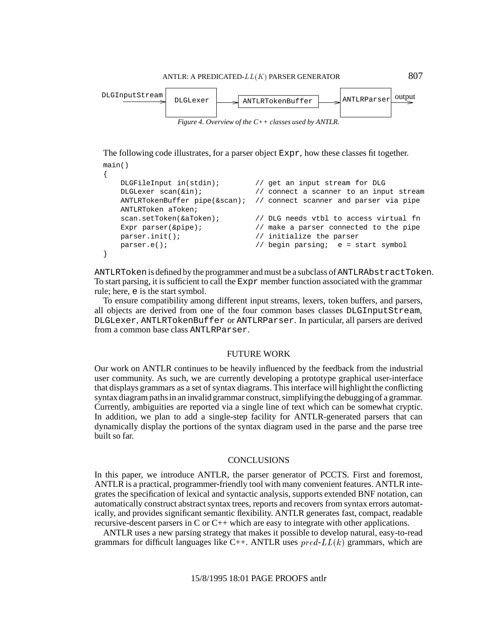

The following code illustrates, for a parser object Expr, how these classes fit together. main()

```
{
   DLGFileInput in(stdin); // get an input stream for DLG
   DLGLexer scan(kin); // connect a scanner to an input stream
   ANTLRTokenBuffer pipe(&scan); // connect scanner and parser via pipe
   ANTLRToken aToken;<br>scan.setToken(&aToken);
                               // DLG needs vtbl to access virtual fn
   Expr parser(&pipe); // make a parser connected to the pipe
   parser.init(); \sqrt{ } // initialize the parser
   parser.e(); \sqrt{} begin parsing; e = start symbol
}
```
ANTLRToken is defined by the programmer and must be a subclass of ANTLRAbstractToken. To start parsing, it is sufficient to call the Expr member function associated with the grammar rule; here, e is the start symbol.

To ensure compatibility among different input streams, lexers, token buffers, and parsers, all objects are derived from one of the four common bases classes DLGInputStream, DLGLexer, ANTLRTokenBuffer or ANTLRParser. In particular, all parsers are derived from a common base class ANTLRParser.

#### FUTURE WORK

Our work on ANTLR continues to be heavily influenced by the feedback from the industrial user community. As such, we are currently developing a prototype graphical user-interface that displays grammars as a set of syntax diagrams. Thisinterface will highlightthe conflicting syntax diagram paths in an invalid grammar construct, simplifying the debugging of a grammar. Currently, ambiguities are reported via a single line of text which can be somewhat cryptic. In addition, we plan to add a single-step facility for ANTLR-generated parsers that can dynamically display the portions of the syntax diagram used in the parse and the parse tree built so far.

### **CONCLUSIONS**

In this paper, we introduce ANTLR, the parser generator of PCCTS. First and foremost, ANTLR is a practical, programmer-friendly tool with many convenient features. ANTLR integrates the specification of lexical and syntactic analysis, supports extended BNF notation, can automatically construct abstract syntax trees, reports and recovers from syntax errors automatically, and provides significant semantic flexibility. ANTLR generates fast, compact, readable recursive-descent parsers in C or C++ which are easy to integrate with other applications.

ANTLR uses a new parsing strategy that makes it possible to develop natural, easy-to-read grammars for difficult languages like C++. ANTLR uses  $pred\text{-}LL(k)$  grammars, which are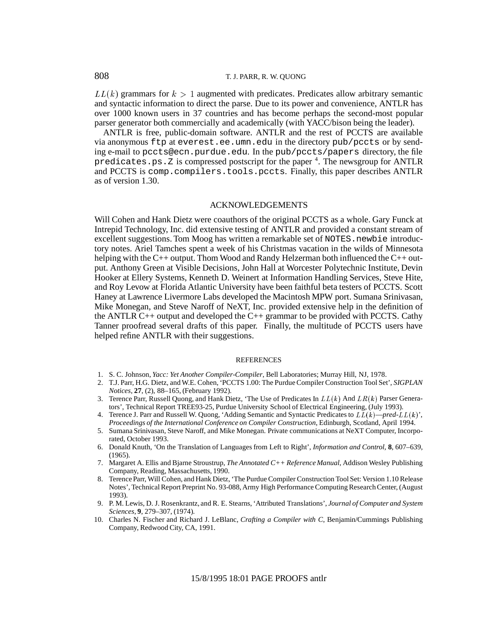$LL(k)$  grammars for  $k > 1$  augmented with predicates. Predicates allow arbitrary semantic and syntactic information to direct the parse. Due to its power and convenience, ANTLR has over 1000 known users in 37 countries and has become perhaps the second-most popular parser generator both commercially and academically (with YACC/bison being the leader).

ANTLR is free, public-domain software. ANTLR and the rest of PCCTS are available via anonymous ftp at everest.ee.umn.edu in the directory pub/pccts or by sending e-mail to pccts@ecn.purdue.edu. In the pub/pccts/papers directory, the file predicates.ps.Z is compressed postscript for the paper <sup>4</sup>. The newsgroup for ANTLR and PCCTS is comp.compilers.tools.pccts. Finally, this paper describes ANTLR as of version 1.30.

### ACKNOWLEDGEMENTS

Will Cohen and Hank Dietz were coauthors of the original PCCTS as a whole. Gary Funck at Intrepid Technology, Inc. did extensive testing of ANTLR and provided a constant stream of excellent suggestions. Tom Moog has written a remarkable set of NOTES. newbie introductory notes. Ariel Tamches spent a week of his Christmas vacation in the wilds of Minnesota helping with the C++ output. Thom Wood and Randy Helzerman both influenced the C++ output. Anthony Green at Visible Decisions, John Hall at Worcester Polytechnic Institute, Devin Hooker at Ellery Systems, Kenneth D. Weinert at Information Handling Services, Steve Hite, and Roy Levow at Florida Atlantic University have been faithful beta testers of PCCTS. Scott Haney at Lawrence Livermore Labs developed the Macintosh MPW port. Sumana Srinivasan, Mike Monegan, and Steve Naroff of NeXT, Inc. provided extensive help in the definition of the ANTLR C++ output and developed the C++ grammar to be provided with PCCTS. Cathy Tanner proofread several drafts of this paper. Finally, the multitude of PCCTS users have helped refine ANTLR with their suggestions.

#### REFERENCES

- 1. S. C. Johnson, *Yacc: Yet Another Compiler-Compiler*, Bell Laboratories; Murray Hill, NJ, 1978.
- 2. T.J. Parr, H.G. Dietz, and W.E. Cohen, 'PCCTS 1.00: The PurdueCompiler Construction Tool Set', *SIGPLAN Notices*, **27**, (2), 88–165, (February 1992).
- 3. Terence Parr, Russell Quong, and Hank Dietz, 'The Use of Predicates In  $LL(k)$  And  $LR(k)$  Parser Generators', Technical Report TREE93-25, Purdue University School of Electrical Engineering, (July 1993).
- 4. Terence J. Parr and Russell W. Quong, 'Adding Semantic and Syntactic Predicates to  $LL(k)$ — $pred\text{-}LL(k)$ ', *Proceedings of the International Conference on Compiler Construction*, Edinburgh, Scotland, April 1994.
- 5. Sumana Srinivasan, Steve Naroff, and Mike Monegan. Private communications at NeXT Computer, Incorporated, October 1993.
- 6. Donald Knuth, 'On the Translation of Languagesfrom Left to Right', *Information and Control*, **8**, 607–639, (1965).
- 7. Margaret A. Ellis and Bjarne Stroustrup, *The Annotated C++ ReferenceManual*, Addison Wesley Publishing Company, Reading, Massachusetts, 1990.
- 8. Terence Parr, Will Cohen, and Hank Dietz, 'The Purdue Compiler Construction Tool Set: Version 1.10 Release Notes', Technical Report Preprint No. 93-088, Army High Performance Computing Research Center, (August 1993).
- 9. P. M. Lewis, D. J. Rosenkrantz, and R. E. Stearns, 'Attributed Translations', *Journal of Computer and System Sciences*, **9**, 279–307, (1974).
- 10. Charles N. Fischer and Richard J. LeBlanc, *Crafting a Compiler with C*, Benjamin/Cummings Publishing Company, Redwood City, CA, 1991.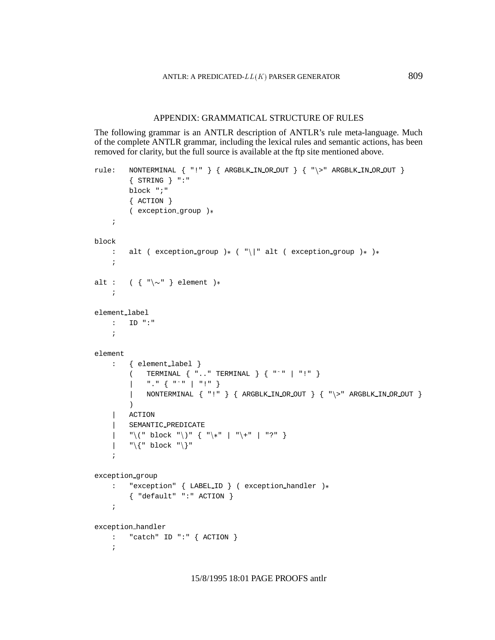### APPENDIX: GRAMMATICAL STRUCTURE OF RULES

The following grammar is an ANTLR description of ANTLR's rule meta-language. Much of the complete ANTLR grammar, including the lexical rules and semantic actions, has been removed for clarity, but the full source is available at the ftp site mentioned above.

```
rule: NONTERMINAL \{ "!" } \} { ARGBLK_IN_OR_OUT } { "\ ARGBLK_IN_OR_OUT }
        { STRING } ":"
        block ";"
        { ACTION }
        ( exception group )
    ;
block
   : alt ( exception_group )* ( "\|" alt ( exception_group )* )*
   \mathcal{I}alt : \qquad { "\sim" } element )*
   ;
element label
   : ID ":"
    ;
element
   : { element label }
        ( TERMINAL { ".." TERMINAL } { " 
" | "!" }
        | "." { " 
" | "!" }
        | NONTERMINAL { "!" } { ARGBLK IN OR OUT } { " >" ARGBLK IN OR OUT }
        )
    | ACTION
    | SEMANTIC PREDICATE
    | "\(" block "\)" { "\*" | "\+" | "?" }
    |\qquad "\{ " } block ""\;
exception group
   : "exception" { LABEL ID } ( exception handler )
        { "default" ":" ACTION }
    ;
exception handler
   : "catch" ID ":" { ACTION }
    ;
```